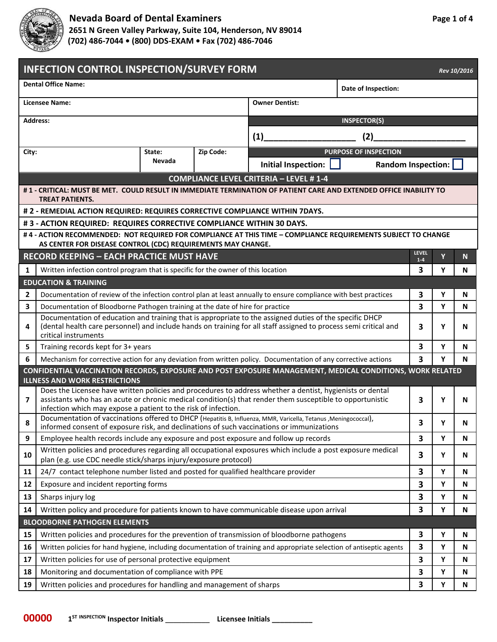

## **Nevada Board of Dental Examiners Page 1** of 4

 **2651 N Green Valley Parkway, Suite 104, Henderson, NV 89014 (702) 486-7044 • (800) DDS-EXAM • Fax (702) 486-7046**

| <b>INFECTION CONTROL INSPECTION/SURVEY FORM</b><br>Rev 10/2016 |                                                                                                                                                                                                                                                                                          |        |                       |                                               |                              |              |        |                |  |
|----------------------------------------------------------------|------------------------------------------------------------------------------------------------------------------------------------------------------------------------------------------------------------------------------------------------------------------------------------------|--------|-----------------------|-----------------------------------------------|------------------------------|--------------|--------|----------------|--|
| <b>Dental Office Name:</b><br>Date of Inspection:              |                                                                                                                                                                                                                                                                                          |        |                       |                                               |                              |              |        |                |  |
| <b>Licensee Name:</b>                                          |                                                                                                                                                                                                                                                                                          |        | <b>Owner Dentist:</b> |                                               |                              |              |        |                |  |
|                                                                | <b>Address:</b>                                                                                                                                                                                                                                                                          |        |                       | <b>INSPECTOR(S)</b>                           |                              |              |        |                |  |
|                                                                |                                                                                                                                                                                                                                                                                          |        |                       | (1)<br>(2)                                    |                              |              |        |                |  |
| City:                                                          |                                                                                                                                                                                                                                                                                          | State: | Zip Code:             |                                               | <b>PURPOSE OF INSPECTION</b> |              |        |                |  |
|                                                                |                                                                                                                                                                                                                                                                                          | Nevada |                       | Initial Inspection:                           | <b>Random Inspection:</b>    |              |        |                |  |
|                                                                |                                                                                                                                                                                                                                                                                          |        |                       | <b>COMPLIANCE LEVEL CRITERIA - LEVEL #1-4</b> |                              |              |        |                |  |
|                                                                | # 1 - CRITICAL: MUST BE MET. COULD RESULT IN IMMEDIATE TERMINATION OF PATIENT CARE AND EXTENDED OFFICE INABILITY TO<br><b>TREAT PATIENTS.</b>                                                                                                                                            |        |                       |                                               |                              |              |        |                |  |
|                                                                | # 2 - REMEDIAL ACTION REQUIRED: REQUIRES CORRECTIVE COMPLIANCE WITHIN 7DAYS.                                                                                                                                                                                                             |        |                       |                                               |                              |              |        |                |  |
|                                                                | #3 - ACTION REQUIRED: REQUIRES CORRECTIVE COMPLIANCE WITHIN 30 DAYS.                                                                                                                                                                                                                     |        |                       |                                               |                              |              |        |                |  |
|                                                                | #4 - ACTION RECOMMENDED: NOT REQUIRED FOR COMPLIANCE AT THIS TIME - COMPLIANCE REQUIREMENTS SUBJECT TO CHANGE                                                                                                                                                                            |        |                       |                                               |                              |              |        |                |  |
|                                                                | AS CENTER FOR DISEASE CONTROL (CDC) REQUIREMENTS MAY CHANGE.                                                                                                                                                                                                                             |        |                       |                                               |                              | <b>LEVEL</b> |        |                |  |
|                                                                | <b>RECORD KEEPING - EACH PRACTICE MUST HAVE</b>                                                                                                                                                                                                                                          |        |                       |                                               |                              | $1 - 4$      | Ÿ      | N <sub>1</sub> |  |
| 1                                                              | Written infection control program that is specific for the owner of this location                                                                                                                                                                                                        |        |                       |                                               |                              | 3            | Υ      | N              |  |
|                                                                | <b>EDUCATION &amp; TRAINING</b>                                                                                                                                                                                                                                                          |        |                       |                                               |                              |              |        |                |  |
| $\overline{2}$<br>3                                            | Documentation of review of the infection control plan at least annually to ensure compliance with best practices                                                                                                                                                                         |        |                       |                                               |                              | 3<br>3       | Υ<br>Y | N<br>N         |  |
|                                                                | Documentation of Bloodborne Pathogen training at the date of hire for practice<br>Documentation of education and training that is appropriate to the assigned duties of the specific DHCP                                                                                                |        |                       |                                               |                              |              |        |                |  |
| 4                                                              | (dental health care personnel) and include hands on training for all staff assigned to process semi critical and<br>critical instruments                                                                                                                                                 |        |                       |                                               |                              | 3            | Υ      | N              |  |
| 5                                                              | Training records kept for 3+ years                                                                                                                                                                                                                                                       |        |                       |                                               | 3                            | Υ            | N      |                |  |
| 6                                                              | Mechanism for corrective action for any deviation from written policy. Documentation of any corrective actions                                                                                                                                                                           |        |                       |                                               | 3                            | Y            | N      |                |  |
|                                                                | CONFIDENTIAL VACCINATION RECORDS, EXPOSURE AND POST EXPOSURE MANAGEMENT, MEDICAL CONDITIONS, WORK RELATED                                                                                                                                                                                |        |                       |                                               |                              |              |        |                |  |
|                                                                | <b>ILLNESS AND WORK RESTRICTIONS</b>                                                                                                                                                                                                                                                     |        |                       |                                               |                              |              |        |                |  |
| 7                                                              | Does the Licensee have written policies and procedures to address whether a dentist, hygienists or dental<br>assistants who has an acute or chronic medical condition(s) that render them susceptible to opportunistic<br>infection which may expose a patient to the risk of infection. |        |                       |                                               | 3                            | Υ            | N      |                |  |
| 8                                                              | Documentation of vaccinations offered to DHCP (Hepatitis B, Influenza, MMR, Varicella, Tetanus, Meningococcal),<br>informed consent of exposure risk, and declinations of such vaccinations or immunizations                                                                             |        |                       |                                               |                              | 3            | Υ      | N              |  |
| 9                                                              | Employee health records include any exposure and post exposure and follow up records                                                                                                                                                                                                     |        |                       |                                               |                              | 3            | Y      | N              |  |
| 10                                                             | Written policies and procedures regarding all occupational exposures which include a post exposure medical<br>plan (e.g. use CDC needle stick/sharps injury/exposure protocol)                                                                                                           |        |                       |                                               |                              | 3            | Υ      | N              |  |
| 11                                                             | 24/7 contact telephone number listed and posted for qualified healthcare provider                                                                                                                                                                                                        |        |                       |                                               |                              | 3            | Υ      | N              |  |
| 12                                                             | Exposure and incident reporting forms                                                                                                                                                                                                                                                    |        |                       |                                               | 3                            | Υ            | N      |                |  |
| 13                                                             | Sharps injury log                                                                                                                                                                                                                                                                        |        |                       |                                               | 3                            | Y            | N      |                |  |
| 14                                                             | Written policy and procedure for patients known to have communicable disease upon arrival                                                                                                                                                                                                |        |                       |                                               | 3                            | Υ            | N      |                |  |
| <b>BLOODBORNE PATHOGEN ELEMENTS</b>                            |                                                                                                                                                                                                                                                                                          |        |                       |                                               |                              |              |        |                |  |
| 15                                                             | Written policies and procedures for the prevention of transmission of bloodborne pathogens                                                                                                                                                                                               |        |                       |                                               |                              | 3            | Υ      | N              |  |
| 16                                                             | Written policies for hand hygiene, including documentation of training and appropriate selection of antiseptic agents                                                                                                                                                                    |        |                       |                                               |                              | 3            | Υ      | N              |  |
| 17                                                             | Written policies for use of personal protective equipment                                                                                                                                                                                                                                |        |                       |                                               |                              | 3            | Υ      | N              |  |
| 18                                                             | Monitoring and documentation of compliance with PPE                                                                                                                                                                                                                                      |        |                       |                                               |                              | 3            | Υ      | N              |  |
| 19                                                             | Written policies and procedures for handling and management of sharps                                                                                                                                                                                                                    |        |                       |                                               |                              | 3            | Υ      | Ν              |  |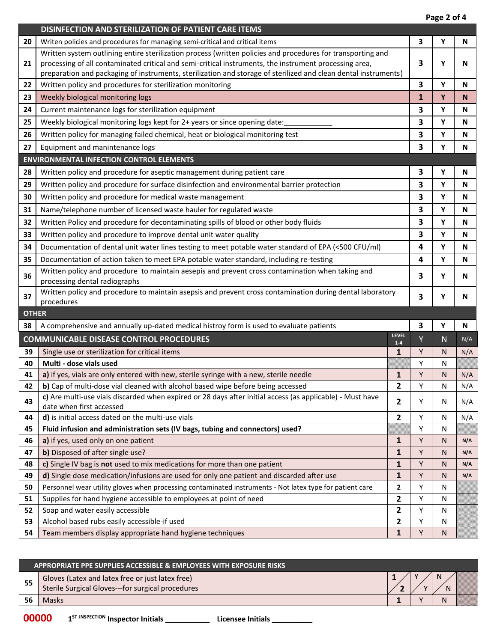**Page 2 of 4**

| DISINFECTION AND STERILIZATION OF PATIENT CARE ITEMS<br>3<br>Υ<br>20<br>Writen policies and procedures for managing semi-critical and critical items<br>N<br>Written system outlining entire sterilization process (written policies and procedures for transporting and<br>processing of all contaminated critical and semi-critical instruments, the instrument processing area,<br>21<br>3<br>Υ<br>N<br>preparation and packaging of instruments, sterilization and storage of sterilized and clean dental instruments)<br>3<br>Written policy and procedures for sterilization monitoring<br>Y<br>N<br>22<br>$\mathbf{1}$<br>Weekly biological monitoring logs<br>Y<br>23<br>N<br>3<br>Y<br>Current maintenance logs for sterilization equipment<br>24<br>N<br>3<br>25<br>Weekly biological monitoring logs kept for 2+ years or since opening date:<br>Y<br>N<br>3<br>Y<br>Written policy for managing failed chemical, heat or biological monitoring test<br>N<br>26<br>3<br>Υ<br>27<br>Equipment and manintenance logs<br>N<br><b>ENVIRONMENTAL INFECTION CONTROL ELEMENTS</b><br>Written policy and procedure for aseptic management during patient care<br>3<br>Y<br>28<br>N<br>3<br>29<br>Written policy and procedure for surface disinfection and environmental barrier protection<br>Υ<br>N<br>3<br>Y<br>Written policy and procedure for medical waste management<br>30<br>N<br>3<br>Name/telephone number of licensed waste hauler for regulated waste<br>Υ<br>31<br>N<br>3<br>Y<br>Written Policy and procedure for decontaminating spills of blood or other body fluids<br>32<br>N<br>3<br>Υ<br>33<br>Written policy and procedure to improve dental unit water quality<br>N<br>4<br>Y<br>Documentation of dental unit water lines testing to meet potable water standard of EPA (<500 CFU/ml)<br>$\mathbf N$<br>34<br>4<br>Y<br>35<br>Documentation of action taken to meet EPA potable water standard, including re-testing<br>N<br>Written policy and procedure to maintain aesepis and prevent cross contamination when taking and<br>36<br>3<br>Υ<br>N<br>processing dental radiographs<br>Written policy and procedure to maintain asepsis and prevent cross contamination during dental laboratory<br>37<br>3<br>Υ<br>N<br>procedures<br><b>OTHER</b><br>3<br>A comprehensive and annually up-dated medical histroy form is used to evaluate patients<br>38<br>Υ<br>N<br>LEVEL<br><b>COMMUNICABLE DISEASE CONTROL PROCEDURES</b><br>Y<br>N<br>N/A<br>$1 - 4$<br>39<br>Y<br>Single use or sterilization for critical items<br>1<br>N<br>N/A<br>Multi - dose vials used<br>40<br>Υ<br>N<br>a) if yes, vials are only entered with new, sterile syringe with a new, sterile needle<br>Y<br>1<br>41<br>N<br>N/A<br>b) Cap of multi-dose vial cleaned with alcohol based wipe before being accessed<br>2<br>Υ<br>N<br>N/A<br>42<br>c) Are multi-use vials discarded when expired or 28 days after initial access (as applicable) - Must have<br>43<br>$\mathbf{2}$<br>Υ<br>N/A<br>N<br>date when first accessed<br>d) is initial access dated on the multi-use vials<br>2<br>Υ<br>N/A<br>44<br>N<br>Fluid infusion and administration sets (IV bags, tubing and connectors) used?<br>Υ<br>45<br>N<br>1<br>Y<br>46<br>a) if yes, used only on one patient<br>N/A<br>N<br>b) Disposed of after single use?<br>47<br>1<br>Y<br>N<br>N/A<br>1<br>Y<br>48<br>c) Single IV bag is not used to mix medications for more than one patient<br>N<br>N/A<br>d) Single dose medication/infusions are used for only one patient and discarded after use<br>1<br>Y<br>49<br>N<br>N/A<br>Personnel wear utility gloves when processing contaminated instruments - Not latex type for patient care<br>50<br>2<br>Y<br>N<br>Supplies for hand hygiene accessible to employees at point of need<br>2<br>Υ<br>51<br>N<br>2<br>Υ<br>52<br>Soap and water easily accessible<br>N<br>53<br>Alcohol based rubs easily accessible-if used<br>2<br>Υ<br>N |    |                                                          |   |   | rage z vi <del>4</del> |  |  |
|-----------------------------------------------------------------------------------------------------------------------------------------------------------------------------------------------------------------------------------------------------------------------------------------------------------------------------------------------------------------------------------------------------------------------------------------------------------------------------------------------------------------------------------------------------------------------------------------------------------------------------------------------------------------------------------------------------------------------------------------------------------------------------------------------------------------------------------------------------------------------------------------------------------------------------------------------------------------------------------------------------------------------------------------------------------------------------------------------------------------------------------------------------------------------------------------------------------------------------------------------------------------------------------------------------------------------------------------------------------------------------------------------------------------------------------------------------------------------------------------------------------------------------------------------------------------------------------------------------------------------------------------------------------------------------------------------------------------------------------------------------------------------------------------------------------------------------------------------------------------------------------------------------------------------------------------------------------------------------------------------------------------------------------------------------------------------------------------------------------------------------------------------------------------------------------------------------------------------------------------------------------------------------------------------------------------------------------------------------------------------------------------------------------------------------------------------------------------------------------------------------------------------------------------------------------------------------------------------------------------------------------------------------------------------------------------------------------------------------------------------------------------------------------------------------------------------------------------------------------------------------------------------------------------------------------------------------------------------------------------------------------------------------------------------------------------------------------------------------------------------------------------------------------------------------------------------------------------------------------------------------------------------------------------------------------------------------------------------------------------------------------------------------------------------------------------------------------------------------------------------------------------------------------------------------------------------------------------------------------------------------------------------------------------------------------------------------------------------------------------------------------------------------------------------------------------------------------------------------------------------------------------------------------------------------------------------------|----|----------------------------------------------------------|---|---|------------------------|--|--|
|                                                                                                                                                                                                                                                                                                                                                                                                                                                                                                                                                                                                                                                                                                                                                                                                                                                                                                                                                                                                                                                                                                                                                                                                                                                                                                                                                                                                                                                                                                                                                                                                                                                                                                                                                                                                                                                                                                                                                                                                                                                                                                                                                                                                                                                                                                                                                                                                                                                                                                                                                                                                                                                                                                                                                                                                                                                                                                                                                                                                                                                                                                                                                                                                                                                                                                                                                                                                                                                                                                                                                                                                                                                                                                                                                                                                                                                                                                                                                     |    |                                                          |   |   |                        |  |  |
|                                                                                                                                                                                                                                                                                                                                                                                                                                                                                                                                                                                                                                                                                                                                                                                                                                                                                                                                                                                                                                                                                                                                                                                                                                                                                                                                                                                                                                                                                                                                                                                                                                                                                                                                                                                                                                                                                                                                                                                                                                                                                                                                                                                                                                                                                                                                                                                                                                                                                                                                                                                                                                                                                                                                                                                                                                                                                                                                                                                                                                                                                                                                                                                                                                                                                                                                                                                                                                                                                                                                                                                                                                                                                                                                                                                                                                                                                                                                                     |    |                                                          |   |   |                        |  |  |
|                                                                                                                                                                                                                                                                                                                                                                                                                                                                                                                                                                                                                                                                                                                                                                                                                                                                                                                                                                                                                                                                                                                                                                                                                                                                                                                                                                                                                                                                                                                                                                                                                                                                                                                                                                                                                                                                                                                                                                                                                                                                                                                                                                                                                                                                                                                                                                                                                                                                                                                                                                                                                                                                                                                                                                                                                                                                                                                                                                                                                                                                                                                                                                                                                                                                                                                                                                                                                                                                                                                                                                                                                                                                                                                                                                                                                                                                                                                                                     |    |                                                          |   |   |                        |  |  |
|                                                                                                                                                                                                                                                                                                                                                                                                                                                                                                                                                                                                                                                                                                                                                                                                                                                                                                                                                                                                                                                                                                                                                                                                                                                                                                                                                                                                                                                                                                                                                                                                                                                                                                                                                                                                                                                                                                                                                                                                                                                                                                                                                                                                                                                                                                                                                                                                                                                                                                                                                                                                                                                                                                                                                                                                                                                                                                                                                                                                                                                                                                                                                                                                                                                                                                                                                                                                                                                                                                                                                                                                                                                                                                                                                                                                                                                                                                                                                     |    |                                                          |   |   |                        |  |  |
|                                                                                                                                                                                                                                                                                                                                                                                                                                                                                                                                                                                                                                                                                                                                                                                                                                                                                                                                                                                                                                                                                                                                                                                                                                                                                                                                                                                                                                                                                                                                                                                                                                                                                                                                                                                                                                                                                                                                                                                                                                                                                                                                                                                                                                                                                                                                                                                                                                                                                                                                                                                                                                                                                                                                                                                                                                                                                                                                                                                                                                                                                                                                                                                                                                                                                                                                                                                                                                                                                                                                                                                                                                                                                                                                                                                                                                                                                                                                                     |    |                                                          |   |   |                        |  |  |
|                                                                                                                                                                                                                                                                                                                                                                                                                                                                                                                                                                                                                                                                                                                                                                                                                                                                                                                                                                                                                                                                                                                                                                                                                                                                                                                                                                                                                                                                                                                                                                                                                                                                                                                                                                                                                                                                                                                                                                                                                                                                                                                                                                                                                                                                                                                                                                                                                                                                                                                                                                                                                                                                                                                                                                                                                                                                                                                                                                                                                                                                                                                                                                                                                                                                                                                                                                                                                                                                                                                                                                                                                                                                                                                                                                                                                                                                                                                                                     |    |                                                          |   |   |                        |  |  |
|                                                                                                                                                                                                                                                                                                                                                                                                                                                                                                                                                                                                                                                                                                                                                                                                                                                                                                                                                                                                                                                                                                                                                                                                                                                                                                                                                                                                                                                                                                                                                                                                                                                                                                                                                                                                                                                                                                                                                                                                                                                                                                                                                                                                                                                                                                                                                                                                                                                                                                                                                                                                                                                                                                                                                                                                                                                                                                                                                                                                                                                                                                                                                                                                                                                                                                                                                                                                                                                                                                                                                                                                                                                                                                                                                                                                                                                                                                                                                     |    |                                                          |   |   |                        |  |  |
|                                                                                                                                                                                                                                                                                                                                                                                                                                                                                                                                                                                                                                                                                                                                                                                                                                                                                                                                                                                                                                                                                                                                                                                                                                                                                                                                                                                                                                                                                                                                                                                                                                                                                                                                                                                                                                                                                                                                                                                                                                                                                                                                                                                                                                                                                                                                                                                                                                                                                                                                                                                                                                                                                                                                                                                                                                                                                                                                                                                                                                                                                                                                                                                                                                                                                                                                                                                                                                                                                                                                                                                                                                                                                                                                                                                                                                                                                                                                                     |    |                                                          |   |   |                        |  |  |
|                                                                                                                                                                                                                                                                                                                                                                                                                                                                                                                                                                                                                                                                                                                                                                                                                                                                                                                                                                                                                                                                                                                                                                                                                                                                                                                                                                                                                                                                                                                                                                                                                                                                                                                                                                                                                                                                                                                                                                                                                                                                                                                                                                                                                                                                                                                                                                                                                                                                                                                                                                                                                                                                                                                                                                                                                                                                                                                                                                                                                                                                                                                                                                                                                                                                                                                                                                                                                                                                                                                                                                                                                                                                                                                                                                                                                                                                                                                                                     |    |                                                          |   |   |                        |  |  |
|                                                                                                                                                                                                                                                                                                                                                                                                                                                                                                                                                                                                                                                                                                                                                                                                                                                                                                                                                                                                                                                                                                                                                                                                                                                                                                                                                                                                                                                                                                                                                                                                                                                                                                                                                                                                                                                                                                                                                                                                                                                                                                                                                                                                                                                                                                                                                                                                                                                                                                                                                                                                                                                                                                                                                                                                                                                                                                                                                                                                                                                                                                                                                                                                                                                                                                                                                                                                                                                                                                                                                                                                                                                                                                                                                                                                                                                                                                                                                     |    |                                                          |   |   |                        |  |  |
|                                                                                                                                                                                                                                                                                                                                                                                                                                                                                                                                                                                                                                                                                                                                                                                                                                                                                                                                                                                                                                                                                                                                                                                                                                                                                                                                                                                                                                                                                                                                                                                                                                                                                                                                                                                                                                                                                                                                                                                                                                                                                                                                                                                                                                                                                                                                                                                                                                                                                                                                                                                                                                                                                                                                                                                                                                                                                                                                                                                                                                                                                                                                                                                                                                                                                                                                                                                                                                                                                                                                                                                                                                                                                                                                                                                                                                                                                                                                                     |    |                                                          |   |   |                        |  |  |
|                                                                                                                                                                                                                                                                                                                                                                                                                                                                                                                                                                                                                                                                                                                                                                                                                                                                                                                                                                                                                                                                                                                                                                                                                                                                                                                                                                                                                                                                                                                                                                                                                                                                                                                                                                                                                                                                                                                                                                                                                                                                                                                                                                                                                                                                                                                                                                                                                                                                                                                                                                                                                                                                                                                                                                                                                                                                                                                                                                                                                                                                                                                                                                                                                                                                                                                                                                                                                                                                                                                                                                                                                                                                                                                                                                                                                                                                                                                                                     |    |                                                          |   |   |                        |  |  |
|                                                                                                                                                                                                                                                                                                                                                                                                                                                                                                                                                                                                                                                                                                                                                                                                                                                                                                                                                                                                                                                                                                                                                                                                                                                                                                                                                                                                                                                                                                                                                                                                                                                                                                                                                                                                                                                                                                                                                                                                                                                                                                                                                                                                                                                                                                                                                                                                                                                                                                                                                                                                                                                                                                                                                                                                                                                                                                                                                                                                                                                                                                                                                                                                                                                                                                                                                                                                                                                                                                                                                                                                                                                                                                                                                                                                                                                                                                                                                     |    |                                                          |   |   |                        |  |  |
|                                                                                                                                                                                                                                                                                                                                                                                                                                                                                                                                                                                                                                                                                                                                                                                                                                                                                                                                                                                                                                                                                                                                                                                                                                                                                                                                                                                                                                                                                                                                                                                                                                                                                                                                                                                                                                                                                                                                                                                                                                                                                                                                                                                                                                                                                                                                                                                                                                                                                                                                                                                                                                                                                                                                                                                                                                                                                                                                                                                                                                                                                                                                                                                                                                                                                                                                                                                                                                                                                                                                                                                                                                                                                                                                                                                                                                                                                                                                                     |    |                                                          |   |   |                        |  |  |
|                                                                                                                                                                                                                                                                                                                                                                                                                                                                                                                                                                                                                                                                                                                                                                                                                                                                                                                                                                                                                                                                                                                                                                                                                                                                                                                                                                                                                                                                                                                                                                                                                                                                                                                                                                                                                                                                                                                                                                                                                                                                                                                                                                                                                                                                                                                                                                                                                                                                                                                                                                                                                                                                                                                                                                                                                                                                                                                                                                                                                                                                                                                                                                                                                                                                                                                                                                                                                                                                                                                                                                                                                                                                                                                                                                                                                                                                                                                                                     |    |                                                          |   |   |                        |  |  |
|                                                                                                                                                                                                                                                                                                                                                                                                                                                                                                                                                                                                                                                                                                                                                                                                                                                                                                                                                                                                                                                                                                                                                                                                                                                                                                                                                                                                                                                                                                                                                                                                                                                                                                                                                                                                                                                                                                                                                                                                                                                                                                                                                                                                                                                                                                                                                                                                                                                                                                                                                                                                                                                                                                                                                                                                                                                                                                                                                                                                                                                                                                                                                                                                                                                                                                                                                                                                                                                                                                                                                                                                                                                                                                                                                                                                                                                                                                                                                     |    |                                                          |   |   |                        |  |  |
|                                                                                                                                                                                                                                                                                                                                                                                                                                                                                                                                                                                                                                                                                                                                                                                                                                                                                                                                                                                                                                                                                                                                                                                                                                                                                                                                                                                                                                                                                                                                                                                                                                                                                                                                                                                                                                                                                                                                                                                                                                                                                                                                                                                                                                                                                                                                                                                                                                                                                                                                                                                                                                                                                                                                                                                                                                                                                                                                                                                                                                                                                                                                                                                                                                                                                                                                                                                                                                                                                                                                                                                                                                                                                                                                                                                                                                                                                                                                                     |    |                                                          |   |   |                        |  |  |
|                                                                                                                                                                                                                                                                                                                                                                                                                                                                                                                                                                                                                                                                                                                                                                                                                                                                                                                                                                                                                                                                                                                                                                                                                                                                                                                                                                                                                                                                                                                                                                                                                                                                                                                                                                                                                                                                                                                                                                                                                                                                                                                                                                                                                                                                                                                                                                                                                                                                                                                                                                                                                                                                                                                                                                                                                                                                                                                                                                                                                                                                                                                                                                                                                                                                                                                                                                                                                                                                                                                                                                                                                                                                                                                                                                                                                                                                                                                                                     |    |                                                          |   |   |                        |  |  |
|                                                                                                                                                                                                                                                                                                                                                                                                                                                                                                                                                                                                                                                                                                                                                                                                                                                                                                                                                                                                                                                                                                                                                                                                                                                                                                                                                                                                                                                                                                                                                                                                                                                                                                                                                                                                                                                                                                                                                                                                                                                                                                                                                                                                                                                                                                                                                                                                                                                                                                                                                                                                                                                                                                                                                                                                                                                                                                                                                                                                                                                                                                                                                                                                                                                                                                                                                                                                                                                                                                                                                                                                                                                                                                                                                                                                                                                                                                                                                     |    |                                                          |   |   |                        |  |  |
|                                                                                                                                                                                                                                                                                                                                                                                                                                                                                                                                                                                                                                                                                                                                                                                                                                                                                                                                                                                                                                                                                                                                                                                                                                                                                                                                                                                                                                                                                                                                                                                                                                                                                                                                                                                                                                                                                                                                                                                                                                                                                                                                                                                                                                                                                                                                                                                                                                                                                                                                                                                                                                                                                                                                                                                                                                                                                                                                                                                                                                                                                                                                                                                                                                                                                                                                                                                                                                                                                                                                                                                                                                                                                                                                                                                                                                                                                                                                                     |    |                                                          |   |   |                        |  |  |
|                                                                                                                                                                                                                                                                                                                                                                                                                                                                                                                                                                                                                                                                                                                                                                                                                                                                                                                                                                                                                                                                                                                                                                                                                                                                                                                                                                                                                                                                                                                                                                                                                                                                                                                                                                                                                                                                                                                                                                                                                                                                                                                                                                                                                                                                                                                                                                                                                                                                                                                                                                                                                                                                                                                                                                                                                                                                                                                                                                                                                                                                                                                                                                                                                                                                                                                                                                                                                                                                                                                                                                                                                                                                                                                                                                                                                                                                                                                                                     |    |                                                          |   |   |                        |  |  |
|                                                                                                                                                                                                                                                                                                                                                                                                                                                                                                                                                                                                                                                                                                                                                                                                                                                                                                                                                                                                                                                                                                                                                                                                                                                                                                                                                                                                                                                                                                                                                                                                                                                                                                                                                                                                                                                                                                                                                                                                                                                                                                                                                                                                                                                                                                                                                                                                                                                                                                                                                                                                                                                                                                                                                                                                                                                                                                                                                                                                                                                                                                                                                                                                                                                                                                                                                                                                                                                                                                                                                                                                                                                                                                                                                                                                                                                                                                                                                     |    |                                                          |   |   |                        |  |  |
|                                                                                                                                                                                                                                                                                                                                                                                                                                                                                                                                                                                                                                                                                                                                                                                                                                                                                                                                                                                                                                                                                                                                                                                                                                                                                                                                                                                                                                                                                                                                                                                                                                                                                                                                                                                                                                                                                                                                                                                                                                                                                                                                                                                                                                                                                                                                                                                                                                                                                                                                                                                                                                                                                                                                                                                                                                                                                                                                                                                                                                                                                                                                                                                                                                                                                                                                                                                                                                                                                                                                                                                                                                                                                                                                                                                                                                                                                                                                                     |    |                                                          |   |   |                        |  |  |
|                                                                                                                                                                                                                                                                                                                                                                                                                                                                                                                                                                                                                                                                                                                                                                                                                                                                                                                                                                                                                                                                                                                                                                                                                                                                                                                                                                                                                                                                                                                                                                                                                                                                                                                                                                                                                                                                                                                                                                                                                                                                                                                                                                                                                                                                                                                                                                                                                                                                                                                                                                                                                                                                                                                                                                                                                                                                                                                                                                                                                                                                                                                                                                                                                                                                                                                                                                                                                                                                                                                                                                                                                                                                                                                                                                                                                                                                                                                                                     |    |                                                          |   |   |                        |  |  |
|                                                                                                                                                                                                                                                                                                                                                                                                                                                                                                                                                                                                                                                                                                                                                                                                                                                                                                                                                                                                                                                                                                                                                                                                                                                                                                                                                                                                                                                                                                                                                                                                                                                                                                                                                                                                                                                                                                                                                                                                                                                                                                                                                                                                                                                                                                                                                                                                                                                                                                                                                                                                                                                                                                                                                                                                                                                                                                                                                                                                                                                                                                                                                                                                                                                                                                                                                                                                                                                                                                                                                                                                                                                                                                                                                                                                                                                                                                                                                     |    |                                                          |   |   |                        |  |  |
|                                                                                                                                                                                                                                                                                                                                                                                                                                                                                                                                                                                                                                                                                                                                                                                                                                                                                                                                                                                                                                                                                                                                                                                                                                                                                                                                                                                                                                                                                                                                                                                                                                                                                                                                                                                                                                                                                                                                                                                                                                                                                                                                                                                                                                                                                                                                                                                                                                                                                                                                                                                                                                                                                                                                                                                                                                                                                                                                                                                                                                                                                                                                                                                                                                                                                                                                                                                                                                                                                                                                                                                                                                                                                                                                                                                                                                                                                                                                                     |    |                                                          |   |   |                        |  |  |
|                                                                                                                                                                                                                                                                                                                                                                                                                                                                                                                                                                                                                                                                                                                                                                                                                                                                                                                                                                                                                                                                                                                                                                                                                                                                                                                                                                                                                                                                                                                                                                                                                                                                                                                                                                                                                                                                                                                                                                                                                                                                                                                                                                                                                                                                                                                                                                                                                                                                                                                                                                                                                                                                                                                                                                                                                                                                                                                                                                                                                                                                                                                                                                                                                                                                                                                                                                                                                                                                                                                                                                                                                                                                                                                                                                                                                                                                                                                                                     |    |                                                          |   |   |                        |  |  |
|                                                                                                                                                                                                                                                                                                                                                                                                                                                                                                                                                                                                                                                                                                                                                                                                                                                                                                                                                                                                                                                                                                                                                                                                                                                                                                                                                                                                                                                                                                                                                                                                                                                                                                                                                                                                                                                                                                                                                                                                                                                                                                                                                                                                                                                                                                                                                                                                                                                                                                                                                                                                                                                                                                                                                                                                                                                                                                                                                                                                                                                                                                                                                                                                                                                                                                                                                                                                                                                                                                                                                                                                                                                                                                                                                                                                                                                                                                                                                     |    |                                                          |   |   |                        |  |  |
|                                                                                                                                                                                                                                                                                                                                                                                                                                                                                                                                                                                                                                                                                                                                                                                                                                                                                                                                                                                                                                                                                                                                                                                                                                                                                                                                                                                                                                                                                                                                                                                                                                                                                                                                                                                                                                                                                                                                                                                                                                                                                                                                                                                                                                                                                                                                                                                                                                                                                                                                                                                                                                                                                                                                                                                                                                                                                                                                                                                                                                                                                                                                                                                                                                                                                                                                                                                                                                                                                                                                                                                                                                                                                                                                                                                                                                                                                                                                                     |    |                                                          |   |   |                        |  |  |
|                                                                                                                                                                                                                                                                                                                                                                                                                                                                                                                                                                                                                                                                                                                                                                                                                                                                                                                                                                                                                                                                                                                                                                                                                                                                                                                                                                                                                                                                                                                                                                                                                                                                                                                                                                                                                                                                                                                                                                                                                                                                                                                                                                                                                                                                                                                                                                                                                                                                                                                                                                                                                                                                                                                                                                                                                                                                                                                                                                                                                                                                                                                                                                                                                                                                                                                                                                                                                                                                                                                                                                                                                                                                                                                                                                                                                                                                                                                                                     |    |                                                          |   |   |                        |  |  |
|                                                                                                                                                                                                                                                                                                                                                                                                                                                                                                                                                                                                                                                                                                                                                                                                                                                                                                                                                                                                                                                                                                                                                                                                                                                                                                                                                                                                                                                                                                                                                                                                                                                                                                                                                                                                                                                                                                                                                                                                                                                                                                                                                                                                                                                                                                                                                                                                                                                                                                                                                                                                                                                                                                                                                                                                                                                                                                                                                                                                                                                                                                                                                                                                                                                                                                                                                                                                                                                                                                                                                                                                                                                                                                                                                                                                                                                                                                                                                     |    |                                                          |   |   |                        |  |  |
|                                                                                                                                                                                                                                                                                                                                                                                                                                                                                                                                                                                                                                                                                                                                                                                                                                                                                                                                                                                                                                                                                                                                                                                                                                                                                                                                                                                                                                                                                                                                                                                                                                                                                                                                                                                                                                                                                                                                                                                                                                                                                                                                                                                                                                                                                                                                                                                                                                                                                                                                                                                                                                                                                                                                                                                                                                                                                                                                                                                                                                                                                                                                                                                                                                                                                                                                                                                                                                                                                                                                                                                                                                                                                                                                                                                                                                                                                                                                                     |    |                                                          |   |   |                        |  |  |
|                                                                                                                                                                                                                                                                                                                                                                                                                                                                                                                                                                                                                                                                                                                                                                                                                                                                                                                                                                                                                                                                                                                                                                                                                                                                                                                                                                                                                                                                                                                                                                                                                                                                                                                                                                                                                                                                                                                                                                                                                                                                                                                                                                                                                                                                                                                                                                                                                                                                                                                                                                                                                                                                                                                                                                                                                                                                                                                                                                                                                                                                                                                                                                                                                                                                                                                                                                                                                                                                                                                                                                                                                                                                                                                                                                                                                                                                                                                                                     |    |                                                          |   |   |                        |  |  |
|                                                                                                                                                                                                                                                                                                                                                                                                                                                                                                                                                                                                                                                                                                                                                                                                                                                                                                                                                                                                                                                                                                                                                                                                                                                                                                                                                                                                                                                                                                                                                                                                                                                                                                                                                                                                                                                                                                                                                                                                                                                                                                                                                                                                                                                                                                                                                                                                                                                                                                                                                                                                                                                                                                                                                                                                                                                                                                                                                                                                                                                                                                                                                                                                                                                                                                                                                                                                                                                                                                                                                                                                                                                                                                                                                                                                                                                                                                                                                     |    |                                                          |   |   |                        |  |  |
|                                                                                                                                                                                                                                                                                                                                                                                                                                                                                                                                                                                                                                                                                                                                                                                                                                                                                                                                                                                                                                                                                                                                                                                                                                                                                                                                                                                                                                                                                                                                                                                                                                                                                                                                                                                                                                                                                                                                                                                                                                                                                                                                                                                                                                                                                                                                                                                                                                                                                                                                                                                                                                                                                                                                                                                                                                                                                                                                                                                                                                                                                                                                                                                                                                                                                                                                                                                                                                                                                                                                                                                                                                                                                                                                                                                                                                                                                                                                                     |    |                                                          |   |   |                        |  |  |
|                                                                                                                                                                                                                                                                                                                                                                                                                                                                                                                                                                                                                                                                                                                                                                                                                                                                                                                                                                                                                                                                                                                                                                                                                                                                                                                                                                                                                                                                                                                                                                                                                                                                                                                                                                                                                                                                                                                                                                                                                                                                                                                                                                                                                                                                                                                                                                                                                                                                                                                                                                                                                                                                                                                                                                                                                                                                                                                                                                                                                                                                                                                                                                                                                                                                                                                                                                                                                                                                                                                                                                                                                                                                                                                                                                                                                                                                                                                                                     |    |                                                          |   |   |                        |  |  |
|                                                                                                                                                                                                                                                                                                                                                                                                                                                                                                                                                                                                                                                                                                                                                                                                                                                                                                                                                                                                                                                                                                                                                                                                                                                                                                                                                                                                                                                                                                                                                                                                                                                                                                                                                                                                                                                                                                                                                                                                                                                                                                                                                                                                                                                                                                                                                                                                                                                                                                                                                                                                                                                                                                                                                                                                                                                                                                                                                                                                                                                                                                                                                                                                                                                                                                                                                                                                                                                                                                                                                                                                                                                                                                                                                                                                                                                                                                                                                     |    |                                                          |   |   |                        |  |  |
|                                                                                                                                                                                                                                                                                                                                                                                                                                                                                                                                                                                                                                                                                                                                                                                                                                                                                                                                                                                                                                                                                                                                                                                                                                                                                                                                                                                                                                                                                                                                                                                                                                                                                                                                                                                                                                                                                                                                                                                                                                                                                                                                                                                                                                                                                                                                                                                                                                                                                                                                                                                                                                                                                                                                                                                                                                                                                                                                                                                                                                                                                                                                                                                                                                                                                                                                                                                                                                                                                                                                                                                                                                                                                                                                                                                                                                                                                                                                                     |    |                                                          |   |   |                        |  |  |
|                                                                                                                                                                                                                                                                                                                                                                                                                                                                                                                                                                                                                                                                                                                                                                                                                                                                                                                                                                                                                                                                                                                                                                                                                                                                                                                                                                                                                                                                                                                                                                                                                                                                                                                                                                                                                                                                                                                                                                                                                                                                                                                                                                                                                                                                                                                                                                                                                                                                                                                                                                                                                                                                                                                                                                                                                                                                                                                                                                                                                                                                                                                                                                                                                                                                                                                                                                                                                                                                                                                                                                                                                                                                                                                                                                                                                                                                                                                                                     |    |                                                          |   |   |                        |  |  |
|                                                                                                                                                                                                                                                                                                                                                                                                                                                                                                                                                                                                                                                                                                                                                                                                                                                                                                                                                                                                                                                                                                                                                                                                                                                                                                                                                                                                                                                                                                                                                                                                                                                                                                                                                                                                                                                                                                                                                                                                                                                                                                                                                                                                                                                                                                                                                                                                                                                                                                                                                                                                                                                                                                                                                                                                                                                                                                                                                                                                                                                                                                                                                                                                                                                                                                                                                                                                                                                                                                                                                                                                                                                                                                                                                                                                                                                                                                                                                     |    |                                                          |   |   |                        |  |  |
|                                                                                                                                                                                                                                                                                                                                                                                                                                                                                                                                                                                                                                                                                                                                                                                                                                                                                                                                                                                                                                                                                                                                                                                                                                                                                                                                                                                                                                                                                                                                                                                                                                                                                                                                                                                                                                                                                                                                                                                                                                                                                                                                                                                                                                                                                                                                                                                                                                                                                                                                                                                                                                                                                                                                                                                                                                                                                                                                                                                                                                                                                                                                                                                                                                                                                                                                                                                                                                                                                                                                                                                                                                                                                                                                                                                                                                                                                                                                                     |    |                                                          |   |   |                        |  |  |
|                                                                                                                                                                                                                                                                                                                                                                                                                                                                                                                                                                                                                                                                                                                                                                                                                                                                                                                                                                                                                                                                                                                                                                                                                                                                                                                                                                                                                                                                                                                                                                                                                                                                                                                                                                                                                                                                                                                                                                                                                                                                                                                                                                                                                                                                                                                                                                                                                                                                                                                                                                                                                                                                                                                                                                                                                                                                                                                                                                                                                                                                                                                                                                                                                                                                                                                                                                                                                                                                                                                                                                                                                                                                                                                                                                                                                                                                                                                                                     | 54 | Team members display appropriate hand hygiene techniques | 1 | Y | N                      |  |  |

|    | <b>APPROPRIATE PPE SUPPLIES ACCESSIBLE &amp; EMPLOYEES WITH EXPOSURE RISKS</b>                        |  |  |        |  |  |
|----|-------------------------------------------------------------------------------------------------------|--|--|--------|--|--|
| 55 | Gloves (Latex and latex free or just latex free)<br>Sterile Surgical Gloves---for surgical procedures |  |  | N<br>N |  |  |
|    | Masks                                                                                                 |  |  |        |  |  |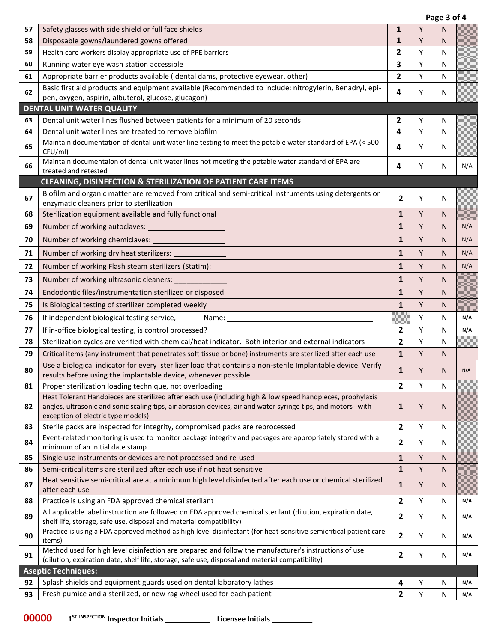|    |                                                                                                                                                                                                                                                                   |                | Page 3 of 4 |              |     |
|----|-------------------------------------------------------------------------------------------------------------------------------------------------------------------------------------------------------------------------------------------------------------------|----------------|-------------|--------------|-----|
| 57 | Safety glasses with side shield or full face shields                                                                                                                                                                                                              | $\mathbf{1}$   | Y           | N            |     |
| 58 | Disposable gowns/laundered gowns offered                                                                                                                                                                                                                          | $\mathbf{1}$   | Υ           | N            |     |
| 59 | Health care workers display appropriate use of PPE barriers                                                                                                                                                                                                       | 2              | Υ           | N            |     |
| 60 | Running water eye wash station accessible                                                                                                                                                                                                                         | 3              | Υ           | N            |     |
| 61 | Appropriate barrier products available ( dental dams, protective eyewear, other)                                                                                                                                                                                  | $\mathbf{2}$   | Y           | N            |     |
| 62 | Basic first aid products and equipment available (Recommended to include: nitrogylerin, Benadryl, epi-                                                                                                                                                            | 4              | Y           | N            |     |
|    | pen, oxygen, aspirin, albuterol, glucose, glucagon)                                                                                                                                                                                                               |                |             |              |     |
|    | <b>DENTAL UNIT WATER QUALITY</b>                                                                                                                                                                                                                                  |                |             |              |     |
| 63 | Dental unit water lines flushed between patients for a minimum of 20 seconds                                                                                                                                                                                      | 2              | Υ           | N            |     |
| 64 | Dental unit water lines are treated to remove biofilm                                                                                                                                                                                                             | 4              | Y           | N            |     |
| 65 | Maintain documentation of dental unit water line testing to meet the potable water standard of EPA (< 500<br>CFU/ml)                                                                                                                                              | 4              | Y           | N            |     |
| 66 | Maintain documentaion of dental unit water lines not meeting the potable water standard of EPA are<br>treated and retested                                                                                                                                        | 4              | Y           | N            | N/A |
|    | <b>CLEANING, DISINFECTION &amp; STERILIZATION OF PATIENT CARE ITEMS</b>                                                                                                                                                                                           |                |             |              |     |
| 67 | Biofilm and organic matter are removed from critical and semi-critical instruments using detergents or                                                                                                                                                            | $\overline{2}$ | Υ           | N            |     |
|    | enzymatic cleaners prior to sterilization                                                                                                                                                                                                                         |                |             |              |     |
| 68 | Sterilization equipment available and fully functional                                                                                                                                                                                                            | $\mathbf{1}$   | Y           | N            |     |
| 69 | Number of working autoclaves:                                                                                                                                                                                                                                     | $\mathbf{1}$   | Y           | N            | N/A |
| 70 | Number of working chemiclaves:                                                                                                                                                                                                                                    | $\mathbf{1}$   | Y           | N            | N/A |
| 71 | Number of working dry heat sterilizers: ______________                                                                                                                                                                                                            | $\mathbf{1}$   | Y           | N            | N/A |
| 72 | Number of working Flash steam sterilizers (Statim): ____                                                                                                                                                                                                          | $\mathbf{1}$   | Y           | N            | N/A |
| 73 | Number of working ultrasonic cleaners:                                                                                                                                                                                                                            | $\mathbf{1}$   | Y           | N            |     |
|    |                                                                                                                                                                                                                                                                   | $\mathbf{1}$   | Y           |              |     |
| 74 | Endodontic files/instrumentation sterilized or disposed                                                                                                                                                                                                           |                |             | N            |     |
| 75 | Is Biological testing of sterilizer completed weekly                                                                                                                                                                                                              | $\mathbf{1}$   | Y           | N.           |     |
| 76 | If independent biological testing service,<br>Name: _                                                                                                                                                                                                             |                | Y           | N            | N/A |
| 77 | If in-office biological testing, is control processed?                                                                                                                                                                                                            | $\mathbf{2}$   | Y           | N            | N/A |
| 78 | Sterilization cycles are verified with chemical/heat indicator. Both interior and external indicators                                                                                                                                                             | $\overline{2}$ | Y           | N            |     |
| 79 | Critical items (any instrument that penetrates soft tissue or bone) instruments are sterilized after each use                                                                                                                                                     | $\mathbf{1}$   | Y           | N            |     |
| 80 | Use a biological indicator for every sterilizer load that contains a non-sterile Implantable device. Verify<br>results before using the implantable device, whenever possible.                                                                                    | $\mathbf{1}$   | Υ           | N            | N/A |
| 81 | Proper sterilization loading technique, not overloading                                                                                                                                                                                                           | 2              | Y           | N            |     |
| 82 | Heat Tolerant Handpieces are sterilized after each use (including high & low speed handpieces, prophylaxis<br>angles, ultrasonic and sonic scaling tips, air abrasion devices, air and water syringe tips, and motors--with<br>exception of electric type models) | 1              | Υ           | N.           |     |
| 83 | Sterile packs are inspected for integrity, compromised packs are reprocessed                                                                                                                                                                                      | $\overline{2}$ | Y           | N            |     |
| 84 | Event-related monitoring is used to monitor package integrity and packages are appropriately stored with a<br>minimum of an initial date stamp                                                                                                                    | $\mathbf{2}$   | Y           | N            |     |
| 85 | Single use instruments or devices are not processed and re-used                                                                                                                                                                                                   | $\mathbf{1}$   | Υ           | N            |     |
| 86 | Semi-critical items are sterilized after each use if not heat sensitive                                                                                                                                                                                           | $\mathbf{1}$   | Υ           | $\mathsf{N}$ |     |
| 87 | Heat sensitive semi-critical are at a minimum high level disinfected after each use or chemical sterilized<br>after each use                                                                                                                                      | $\mathbf{1}$   | Y           | N            |     |
| 88 | Practice is using an FDA approved chemical sterilant                                                                                                                                                                                                              | $\overline{2}$ | Y           | N            | N/A |
| 89 | All applicable label instruction are followed on FDA approved chemical sterilant (dilution, expiration date,<br>shelf life, storage, safe use, disposal and material compatibility)                                                                               | $\mathbf{2}$   | Y           | N            | N/A |
| 90 | Practice is using a FDA approved method as high level disinfectant (for heat-sensitive semicritical patient care<br>items)                                                                                                                                        | $\mathbf{2}$   | Y           | N            | N/A |
| 91 | Method used for high level disinfection are prepared and follow the manufacturer's instructions of use<br>(dilution, expiration date, shelf life, storage, safe use, disposal and material compatibility)                                                         | $\mathbf{2}$   | Y           | N            | N/A |
|    | <b>Aseptic Techniques:</b>                                                                                                                                                                                                                                        |                |             |              |     |
| 92 | Splash shields and equipment guards used on dental laboratory lathes                                                                                                                                                                                              | 4              | Υ           | N            | N/A |
| 93 | Fresh pumice and a sterilized, or new rag wheel used for each patient                                                                                                                                                                                             | $\overline{2}$ | Υ           | ${\sf N}$    | N/A |
|    |                                                                                                                                                                                                                                                                   |                |             |              |     |